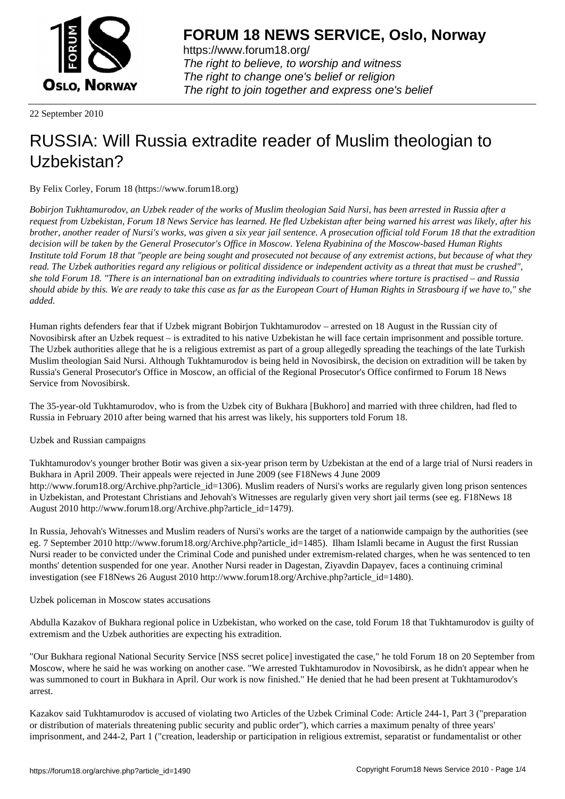

https://www.forum18.org/ The right to believe, to worship and witness The right to change one's belief or religion [The right to join together a](https://www.forum18.org/)nd express one's belief

22 September 2010

## [RUSSIA: Will R](https://www.forum18.org)ussia extradite reader of Muslim theologian to Uzbekistan?

By Felix Corley, Forum 18 (https://www.forum18.org)

*Bobirjon Tukhtamurodov, an Uzbek reader of the works of Muslim theologian Said Nursi, has been arrested in Russia after a request from Uzbekistan, Forum 18 News Service has learned. He fled Uzbekistan after being warned his arrest was likely, after his brother, another reader of Nursi's works, was given a six year jail sentence. A prosecution official told Forum 18 that the extradition decision will be taken by the General Prosecutor's Office in Moscow. Yelena Ryabinina of the Moscow-based Human Rights Institute told Forum 18 that "people are being sought and prosecuted not because of any extremist actions, but because of what they read. The Uzbek authorities regard any religious or political dissidence or independent activity as a threat that must be crushed", she told Forum 18. "There is an international ban on extraditing individuals to countries where torture is practised – and Russia should abide by this. We are ready to take this case as far as the European Court of Human Rights in Strasbourg if we have to," she added.*

Human rights defenders fear that if Uzbek migrant Bobirjon Tukhtamurodov – arrested on 18 August in the Russian city of Novosibirsk after an Uzbek request – is extradited to his native Uzbekistan he will face certain imprisonment and possible torture. The Uzbek authorities allege that he is a religious extremist as part of a group allegedly spreading the teachings of the late Turkish Muslim theologian Said Nursi. Although Tukhtamurodov is being held in Novosibirsk, the decision on extradition will be taken by Russia's General Prosecutor's Office in Moscow, an official of the Regional Prosecutor's Office confirmed to Forum 18 News Service from Novosibirsk.

The 35-year-old Tukhtamurodov, who is from the Uzbek city of Bukhara [Bukhoro] and married with three children, had fled to Russia in February 2010 after being warned that his arrest was likely, his supporters told Forum 18.

Uzbek and Russian campaigns

Tukhtamurodov's younger brother Botir was given a six-year prison term by Uzbekistan at the end of a large trial of Nursi readers in Bukhara in April 2009. Their appeals were rejected in June 2009 (see F18News 4 June 2009 http://www.forum18.org/Archive.php?article\_id=1306). Muslim readers of Nursi's works are regularly given long prison sentences in Uzbekistan, and Protestant Christians and Jehovah's Witnesses are regularly given very short jail terms (see eg. F18News 18 August 2010 http://www.forum18.org/Archive.php?article\_id=1479).

In Russia, Jehovah's Witnesses and Muslim readers of Nursi's works are the target of a nationwide campaign by the authorities (see eg. 7 September 2010 http://www.forum18.org/Archive.php?article\_id=1485). Ilham Islamli became in August the first Russian Nursi reader to be convicted under the Criminal Code and punished under extremism-related charges, when he was sentenced to ten months' detention suspended for one year. Another Nursi reader in Dagestan, Ziyavdin Dapayev, faces a continuing criminal investigation (see F18News 26 August 2010 http://www.forum18.org/Archive.php?article\_id=1480).

Uzbek policeman in Moscow states accusations

Abdulla Kazakov of Bukhara regional police in Uzbekistan, who worked on the case, told Forum 18 that Tukhtamurodov is guilty of extremism and the Uzbek authorities are expecting his extradition.

"Our Bukhara regional National Security Service [NSS secret police] investigated the case," he told Forum 18 on 20 September from Moscow, where he said he was working on another case. "We arrested Tukhtamurodov in Novosibirsk, as he didn't appear when he was summoned to court in Bukhara in April. Our work is now finished." He denied that he had been present at Tukhtamurodov's arrest.

Kazakov said Tukhtamurodov is accused of violating two Articles of the Uzbek Criminal Code: Article 244-1, Part 3 ("preparation or distribution of materials threatening public security and public order"), which carries a maximum penalty of three years' imprisonment, and 244-2, Part 1 ("creation, leadership or participation in religious extremist, separatist or fundamentalist or other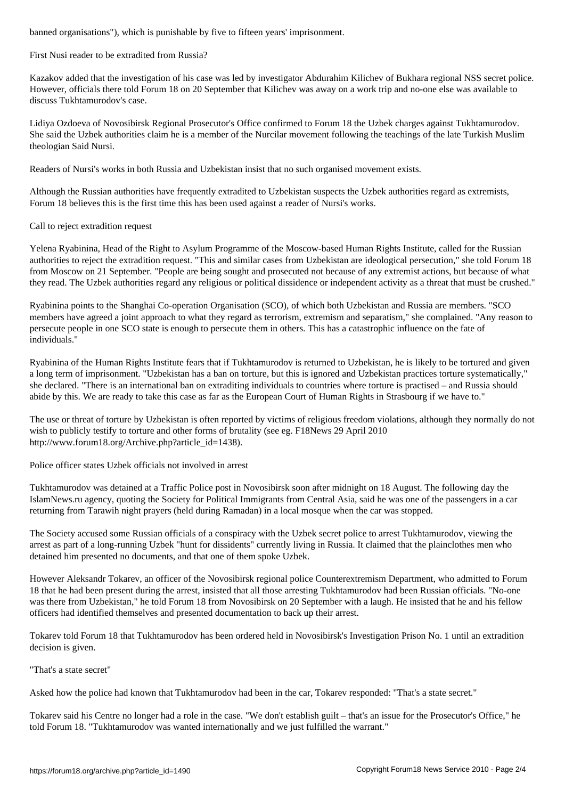First Nusi reader to be extradited from Russia?

Kazakov added that the investigation of his case was led by investigator Abdurahim Kilichev of Bukhara regional NSS secret police. However, officials there told Forum 18 on 20 September that Kilichev was away on a work trip and no-one else was available to discuss Tukhtamurodov's case.

Lidiya Ozdoeva of Novosibirsk Regional Prosecutor's Office confirmed to Forum 18 the Uzbek charges against Tukhtamurodov. She said the Uzbek authorities claim he is a member of the Nurcilar movement following the teachings of the late Turkish Muslim theologian Said Nursi.

Readers of Nursi's works in both Russia and Uzbekistan insist that no such organised movement exists.

Although the Russian authorities have frequently extradited to Uzbekistan suspects the Uzbek authorities regard as extremists, Forum 18 believes this is the first time this has been used against a reader of Nursi's works.

Call to reject extradition request

Yelena Ryabinina, Head of the Right to Asylum Programme of the Moscow-based Human Rights Institute, called for the Russian authorities to reject the extradition request. "This and similar cases from Uzbekistan are ideological persecution," she told Forum 18 from Moscow on 21 September. "People are being sought and prosecuted not because of any extremist actions, but because of what they read. The Uzbek authorities regard any religious or political dissidence or independent activity as a threat that must be crushed."

Ryabinina points to the Shanghai Co-operation Organisation (SCO), of which both Uzbekistan and Russia are members. "SCO members have agreed a joint approach to what they regard as terrorism, extremism and separatism," she complained. "Any reason to persecute people in one SCO state is enough to persecute them in others. This has a catastrophic influence on the fate of individuals."

Ryabinina of the Human Rights Institute fears that if Tukhtamurodov is returned to Uzbekistan, he is likely to be tortured and given a long term of imprisonment. "Uzbekistan has a ban on torture, but this is ignored and Uzbekistan practices torture systematically," she declared. "There is an international ban on extraditing individuals to countries where torture is practised – and Russia should abide by this. We are ready to take this case as far as the European Court of Human Rights in Strasbourg if we have to."

The use or threat of torture by Uzbekistan is often reported by victims of religious freedom violations, although they normally do not wish to publicly testify to torture and other forms of brutality (see eg. F18News 29 April 2010 http://www.forum18.org/Archive.php?article\_id=1438).

Police officer states Uzbek officials not involved in arrest

Tukhtamurodov was detained at a Traffic Police post in Novosibirsk soon after midnight on 18 August. The following day the IslamNews.ru agency, quoting the Society for Political Immigrants from Central Asia, said he was one of the passengers in a car returning from Tarawih night prayers (held during Ramadan) in a local mosque when the car was stopped.

The Society accused some Russian officials of a conspiracy with the Uzbek secret police to arrest Tukhtamurodov, viewing the arrest as part of a long-running Uzbek "hunt for dissidents" currently living in Russia. It claimed that the plainclothes men who detained him presented no documents, and that one of them spoke Uzbek.

However Aleksandr Tokarev, an officer of the Novosibirsk regional police Counterextremism Department, who admitted to Forum 18 that he had been present during the arrest, insisted that all those arresting Tukhtamurodov had been Russian officials. "No-one was there from Uzbekistan," he told Forum 18 from Novosibirsk on 20 September with a laugh. He insisted that he and his fellow officers had identified themselves and presented documentation to back up their arrest.

Tokarev told Forum 18 that Tukhtamurodov has been ordered held in Novosibirsk's Investigation Prison No. 1 until an extradition decision is given.

"That's a state secret"

Asked how the police had known that Tukhtamurodov had been in the car, Tokarev responded: "That's a state secret."

Tokarev said his Centre no longer had a role in the case. "We don't establish guilt – that's an issue for the Prosecutor's Office," he told Forum 18. "Tukhtamurodov was wanted internationally and we just fulfilled the warrant."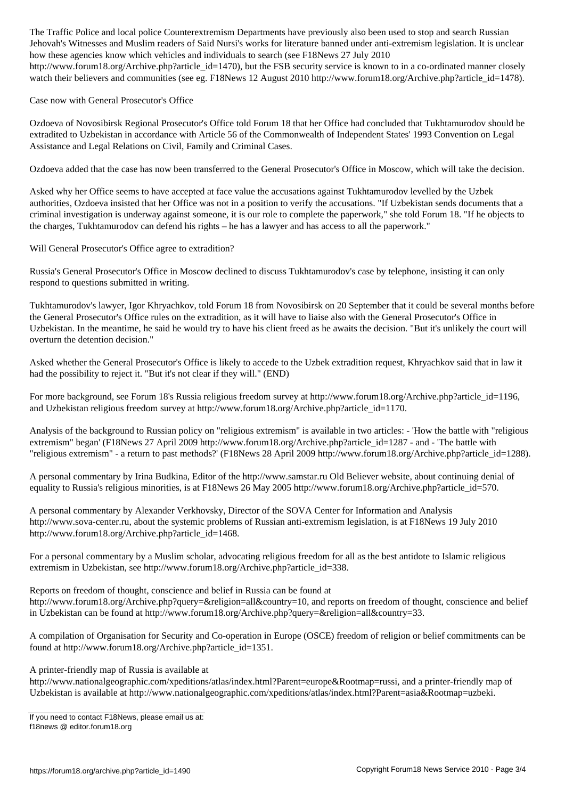$\omega$  and Muslim readers of Said Nursi's works for literature banned under anti-extremism legislation. It is uncertainty legislation. It is uncertainty legislation. It is uncertainty legislation. It is uncertainty legislat how these agencies know which vehicles and individuals to search (see F18News 27 July 2010 http://www.forum18.org/Archive.php?article\_id=1470), but the FSB security service is known to in a co-ordinated manner closely watch their believers and communities (see eg. F18News 12 August 2010 http://www.forum18.org/Archive.php?article\_id=1478).

Case now with General Prosecutor's Office

Ozdoeva of Novosibirsk Regional Prosecutor's Office told Forum 18 that her Office had concluded that Tukhtamurodov should be extradited to Uzbekistan in accordance with Article 56 of the Commonwealth of Independent States' 1993 Convention on Legal Assistance and Legal Relations on Civil, Family and Criminal Cases.

Ozdoeva added that the case has now been transferred to the General Prosecutor's Office in Moscow, which will take the decision.

Asked why her Office seems to have accepted at face value the accusations against Tukhtamurodov levelled by the Uzbek authorities, Ozdoeva insisted that her Office was not in a position to verify the accusations. "If Uzbekistan sends documents that a criminal investigation is underway against someone, it is our role to complete the paperwork," she told Forum 18. "If he objects to the charges, Tukhtamurodov can defend his rights – he has a lawyer and has access to all the paperwork."

Will General Prosecutor's Office agree to extradition?

Russia's General Prosecutor's Office in Moscow declined to discuss Tukhtamurodov's case by telephone, insisting it can only respond to questions submitted in writing.

Tukhtamurodov's lawyer, Igor Khryachkov, told Forum 18 from Novosibirsk on 20 September that it could be several months before the General Prosecutor's Office rules on the extradition, as it will have to liaise also with the General Prosecutor's Office in Uzbekistan. In the meantime, he said he would try to have his client freed as he awaits the decision. "But it's unlikely the court will overturn the detention decision."

Asked whether the General Prosecutor's Office is likely to accede to the Uzbek extradition request, Khryachkov said that in law it had the possibility to reject it. "But it's not clear if they will." (END)

For more background, see Forum 18's Russia religious freedom survey at http://www.forum18.org/Archive.php?article\_id=1196, and Uzbekistan religious freedom survey at http://www.forum18.org/Archive.php?article\_id=1170.

Analysis of the background to Russian policy on "religious extremism" is available in two articles: - 'How the battle with "religious extremism" began' (F18News 27 April 2009 http://www.forum18.org/Archive.php?article\_id=1287 - and - 'The battle with "religious extremism" - a return to past methods?' (F18News 28 April 2009 http://www.forum18.org/Archive.php?article\_id=1288).

A personal commentary by Irina Budkina, Editor of the http://www.samstar.ru Old Believer website, about continuing denial of equality to Russia's religious minorities, is at F18News 26 May 2005 http://www.forum18.org/Archive.php?article\_id=570.

A personal commentary by Alexander Verkhovsky, Director of the SOVA Center for Information and Analysis http://www.sova-center.ru, about the systemic problems of Russian anti-extremism legislation, is at F18News 19 July 2010 http://www.forum18.org/Archive.php?article\_id=1468.

For a personal commentary by a Muslim scholar, advocating religious freedom for all as the best antidote to Islamic religious extremism in Uzbekistan, see http://www.forum18.org/Archive.php?article\_id=338.

Reports on freedom of thought, conscience and belief in Russia can be found at http://www.forum18.org/Archive.php?query=&religion=all&country=10, and reports on freedom of thought, conscience and belief in Uzbekistan can be found at http://www.forum18.org/Archive.php?query=&religion=all&country=33.

A compilation of Organisation for Security and Co-operation in Europe (OSCE) freedom of religion or belief commitments can be found at http://www.forum18.org/Archive.php?article\_id=1351.

A printer-friendly map of Russia is available at

http://www.nationalgeographic.com/xpeditions/atlas/index.html?Parent=europe&Rootmap=russi, and a printer-friendly map of Uzbekistan is available at http://www.nationalgeographic.com/xpeditions/atlas/index.html?Parent=asia&Rootmap=uzbeki.

If you need to contact F18News, please email us at: f18news @ editor.forum18.org